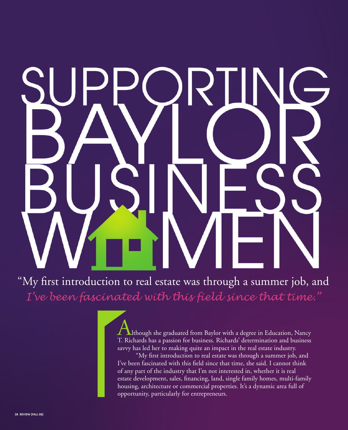"My first introduction to real estate was through a summer job, and *I've been fascinated with this field since that time."*

> Although she graduated from Baylor with a degree in Education, Nancy T. Richards has a passion for business. Richards' determination and business savvy has led her to making quite an impact in the real estate industry.

> "My first introduction to real estate was through a summer job, and I've been fascinated with this field since that time, she said. I cannot think of any part of the industry that I'm not interested in, whether it is real estate development, sales, financing, land, single family homes, multi-family housing, architecture or commercial properties. It's a dynamic area full of opportunity, particularly for entrepreneurs.